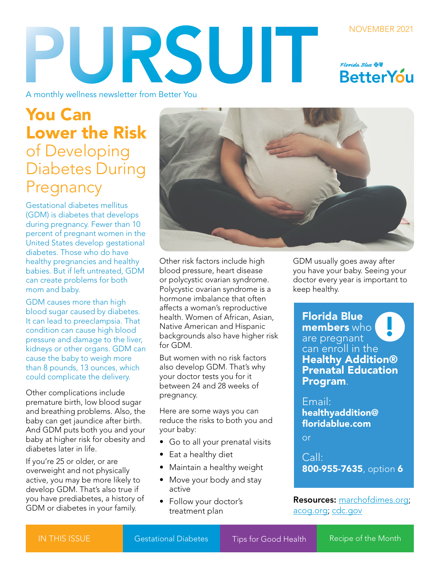## NOVEMBER 2021 PURSUIT Florida Blue **OU BetterYou**

A monthly wellness newsletter from Better You

# You Can Lower the Risk of Developing Diabetes During Pregnancy

Gestational diabetes mellitus (GDM) is diabetes that develops during pregnancy. Fewer than 10 percent of pregnant women in the United States develop gestational diabetes. Those who do have healthy pregnancies and healthy babies. But if left untreated, GDM can create problems for both mom and baby.

GDM causes more than high blood sugar caused by diabetes. It can lead to preeclampsia. That condition can cause high blood pressure and damage to the liver, kidneys or other organs. GDM can cause the baby to weigh more than 8 pounds, 13 ounces, which could complicate the delivery.

Other complications include premature birth, low blood sugar and breathing problems. Also, the baby can get jaundice after birth. And GDM puts both you and your baby at higher risk for obesity and diabetes later in life.

If you're 25 or older, or are overweight and not physically active, you may be more likely to develop GDM. That's also true if you have prediabetes, a history of GDM or diabetes in your family.



Other risk factors include high blood pressure, heart disease or polycystic ovarian syndrome. Polycystic ovarian syndrome is a hormone imbalance that often affects a woman's reproductive health. Women of African, Asian, Native American and Hispanic backgrounds also have higher risk for GDM.

But women with no risk factors also develop GDM. That's why your doctor tests you for it between 24 and 28 weeks of pregnancy.

Here are some ways you can reduce the risks to both you and your baby:

- Go to all your prenatal visits
- Eat a healthy diet
- Maintain a healthy weight
- Move your body and stay active
- Follow your doctor's treatment plan

GDM usually goes away after you have your baby. Seeing your doctor every year is important to keep healthy.

Florida Blue members who are pregnant can enroll in the Healthy Addition® Prenatal Education Program. **.** 

Email: healthyaddition@ floridablue.com

or

Call: 800-955-7635, option 6

Resources: [marchofdimes.org;](http://marchofdimes.org) [acog.org](http://acog.org); [cdc.gov](http://cdc.gov)